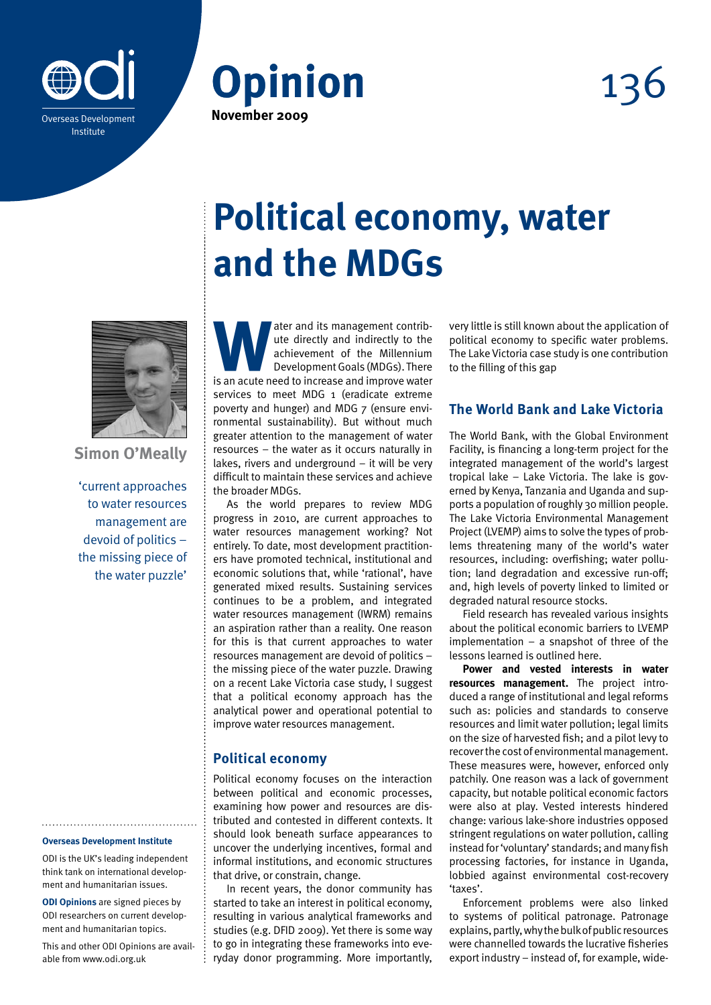





**Simon O'Meally**

'current approaches to water resources management are devoid of politics – the missing piece of the water puzzle'

#### **Overseas Development Institute**

ODI is the UK's leading independent think tank on international development and humanitarian issues.

**ODI Opinions** are signed pieces by ODI researchers on current development and humanitarian topics.

This and other ODI Opinions are available from www.odi.org.uk

# **Political economy, water and the MDGs**

ater and its management contribute directly and indirectly to the achievement of the Millennium Development Goals (MDGs). There is an acute need to increase and improve water ute directly and indirectly to the achievement of the Millennium Development Goals (MDGs). There is an acute need to increase and improve water services to meet MDG 1 (eradicate extreme poverty and hunger) and MDG 7 (ensure environmental sustainability). But without much greater attention to the management of water resources – the water as it occurs naturally in lakes, rivers and underground – it will be very difficult to maintain these services and achieve the broader MDGs.

As the world prepares to review MDG progress in 2010, are current approaches to water resources management working? Not entirely. To date, most development practitioners have promoted technical, institutional and economic solutions that, while 'rational', have generated mixed results. Sustaining services continues to be a problem, and integrated water resources management (IWRM) remains an aspiration rather than a reality. One reason for this is that current approaches to water resources management are devoid of politics – the missing piece of the water puzzle. Drawing on a recent Lake Victoria case study, I suggest that a political economy approach has the analytical power and operational potential to improve water resources management.

#### **Political economy**

Political economy focuses on the interaction between political and economic processes, examining how power and resources are distributed and contested in different contexts. It should look beneath surface appearances to uncover the underlying incentives, formal and informal institutions, and economic structures that drive, or constrain, change.

In recent years, the donor community has started to take an interest in political economy, resulting in various analytical frameworks and studies (e.g. DFID 2009). Yet there is some way to go in integrating these frameworks into everyday donor programming. More importantly,

very little is still known about the application of political economy to specific water problems. The Lake Victoria case study is one contribution to the filling of this gap

## **The World Bank and Lake Victoria**

The World Bank, with the Global Environment Facility, is financing a long-term project for the integrated management of the world's largest tropical lake – Lake Victoria. The lake is governed by Kenya, Tanzania and Uganda and supports a population of roughly 30 million people. The Lake Victoria Environmental Management Project (LVEMP) aims to solve the types of problems threatening many of the world's water resources, including: overfishing; water pollution; land degradation and excessive run-off; and, high levels of poverty linked to limited or degraded natural resource stocks.

Field research has revealed various insights about the political economic barriers to LVEMP implementation – a snapshot of three of the lessons learned is outlined here.

**Power and vested interests in water resources management.** The project introduced a range of institutional and legal reforms such as: policies and standards to conserve resources and limit water pollution; legal limits on the size of harvested fish; and a pilot levy to recover the cost of environmental management. These measures were, however, enforced only patchily. One reason was a lack of government capacity, but notable political economic factors were also at play. Vested interests hindered change: various lake-shore industries opposed stringent regulations on water pollution, calling instead for 'voluntary' standards; and many fish processing factories, for instance in Uganda, lobbied against environmental cost-recovery 'taxes'.

Enforcement problems were also linked to systems of political patronage. Patronage explains, partly, why the bulk of public resources were channelled towards the lucrative fisheries export industry – instead of, for example, wide